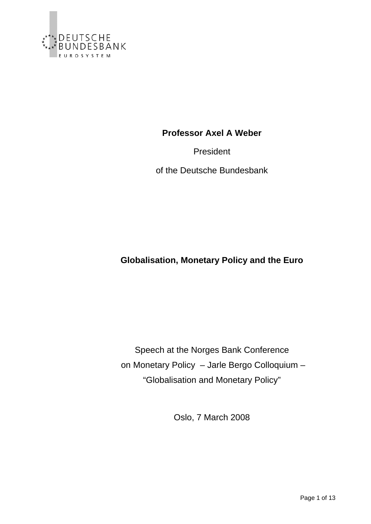

**Professor Axel A Weber** 

President

of the Deutsche Bundesbank

**Globalisation, Monetary Policy and the Euro** 

Speech at the Norges Bank Conference on Monetary Policy – Jarle Bergo Colloquium – "Globalisation and Monetary Policy"

Oslo, 7 March 2008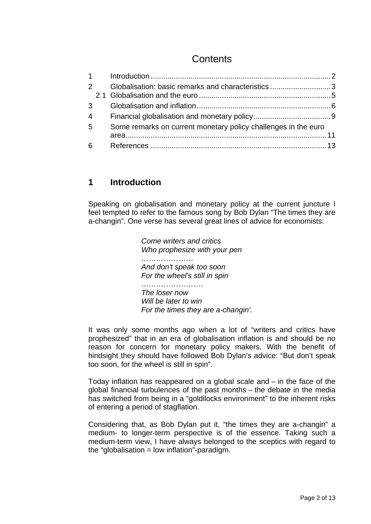# **Contents**

<span id="page-1-0"></span>

|   | $2^{\sim}$      | Globalisation: basic remarks and characteristics 3             |  |
|---|-----------------|----------------------------------------------------------------|--|
|   |                 |                                                                |  |
|   |                 |                                                                |  |
|   | $4\overline{ }$ |                                                                |  |
| 5 |                 | Some remarks on current monetary policy challenges in the euro |  |
|   |                 |                                                                |  |
|   |                 |                                                                |  |

#### **1 Introduction**

Speaking on globalisation and monetary policy at the current juncture I feel tempted to refer to the famous song by Bob Dylan "The times they are a-changin". One verse has several great lines of advice for economists:

> *Come writers and critics Who prophesize with your pen ………………… And don't speak too soon For the wheel's still in spin ……………………. The loser now Will be later to win For the times they are a-changin'.*

It was only some months ago when a lot of "writers and critics have prophesized" that in an era of globalisation inflation is and should be no reason for concern for monetary policy makers. With the benefit of hindsight they should have followed Bob Dylan's advice: "But don't speak too soon, for the wheel is still in spin".

Today inflation has reappeared on a global scale and – in the face of the global financial turbulences of the past months – the debate in the media has switched from being in a "goldilocks environment" to the inherent risks of entering a period of stagflation.

Considering that, as Bob Dylan put it, "the times they are a-changin" a medium- to longer-term perspective is of the essence. Taking such a medium-term view, I have always belonged to the sceptics with regard to the "globalisation  $=$  low inflation"-paradigm.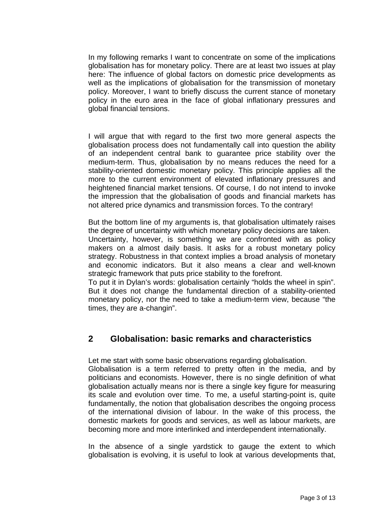<span id="page-2-0"></span>In my following remarks I want to concentrate on some of the implications globalisation has for monetary policy. There are at least two issues at play here: The influence of global factors on domestic price developments as well as the implications of globalisation for the transmission of monetary policy. Moreover, I want to briefly discuss the current stance of monetary policy in the euro area in the face of global inflationary pressures and global financial tensions.

I will argue that with regard to the first two more general aspects the globalisation process does not fundamentally call into question the ability of an independent central bank to guarantee price stability over the medium-term. Thus, globalisation by no means reduces the need for a stability-oriented domestic monetary policy. This principle applies all the more to the current environment of elevated inflationary pressures and heightened financial market tensions. Of course, I do not intend to invoke the impression that the globalisation of goods and financial markets has not altered price dynamics and transmission forces. To the contrary!

But the bottom line of my arguments is, that globalisation ultimately raises the degree of uncertainty with which monetary policy decisions are taken. Uncertainty, however, is something we are confronted with as policy

makers on a almost daily basis. It asks for a robust monetary policy strategy. Robustness in that context implies a broad analysis of monetary and economic indicators. But it also means a clear and well-known strategic framework that puts price stability to the forefront.

To put it in Dylan's words: globalisation certainly "holds the wheel in spin". But it does not change the fundamental direction of a stability-oriented monetary policy, nor the need to take a medium-term view, because "the times, they are a-changin".

## **2 Globalisation: basic remarks and characteristics**

Let me start with some basic observations regarding globalisation.

Globalisation is a term referred to pretty often in the media, and by politicians and economists. However, there is no single definition of what globalisation actually means nor is there a single key figure for measuring its scale and evolution over time. To me, a useful starting-point is, quite fundamentally, the notion that globalisation describes the ongoing process of the international division of labour. In the wake of this process, the domestic markets for goods and services, as well as labour markets, are becoming more and more interlinked and interdependent internationally.

In the absence of a single yardstick to gauge the extent to which globalisation is evolving, it is useful to look at various developments that,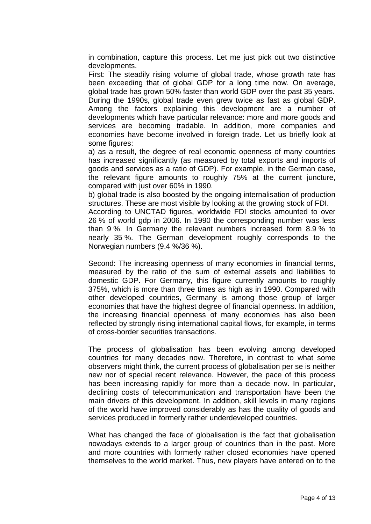in combination, capture this process. Let me just pick out two distinctive developments.

First: The steadily rising volume of global trade, whose growth rate has been exceeding that of global GDP for a long time now. On average, global trade has grown 50% faster than world GDP over the past 35 years. During the 1990s, global trade even grew twice as fast as global GDP. Among the factors explaining this development are a number of developments which have particular relevance: more and more goods and services are becoming tradable. In addition, more companies and economies have become involved in foreign trade. Let us briefly look at some figures:

a) as a result, the degree of real economic openness of many countries has increased significantly (as measured by total exports and imports of goods and services as a ratio of GDP). For example, in the German case, the relevant figure amounts to roughly 75% at the current juncture, compared with just over 60% in 1990.

b) global trade is also boosted by the ongoing internalisation of production structures. These are most visible by looking at the growing stock of FDI.

According to UNCTAD figures, worldwide FDI stocks amounted to over 26 % of world gdp in 2006. In 1990 the corresponding number was less than 9 %. In Germany the relevant numbers increased form 8.9 % to nearly 35 %. The German development roughly corresponds to the Norwegian numbers (9.4 %/36 %).

Second: The increasing openness of many economies in financial terms, measured by the ratio of the sum of external assets and liabilities to domestic GDP. For Germany, this figure currently amounts to roughly 375%, which is more than three times as high as in 1990. Compared with other developed countries, Germany is among those group of larger economies that have the highest degree of financial openness. In addition, the increasing financial openness of many economies has also been reflected by strongly rising international capital flows, for example, in terms of cross-border securities transactions.

The process of globalisation has been evolving among developed countries for many decades now. Therefore, in contrast to what some observers might think, the current process of globalisation per se is neither new nor of special recent relevance. However, the pace of this process has been increasing rapidly for more than a decade now. In particular, declining costs of telecommunication and transportation have been the main drivers of this development. In addition, skill levels in many regions of the world have improved considerably as has the quality of goods and services produced in formerly rather underdeveloped countries.

What has changed the face of globalisation is the fact that globalisation nowadays extends to a larger group of countries than in the past. More and more countries with formerly rather closed economies have opened themselves to the world market. Thus, new players have entered on to the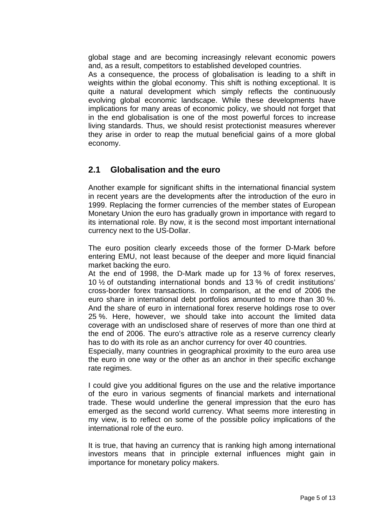<span id="page-4-0"></span>global stage and are becoming increasingly relevant economic powers and, as a result, competitors to established developed countries.

As a consequence, the process of globalisation is leading to a shift in weights within the global economy. This shift is nothing exceptional. It is quite a natural development which simply reflects the continuously evolving global economic landscape. While these developments have implications for many areas of economic policy, we should not forget that in the end globalisation is one of the most powerful forces to increase living standards. Thus, we should resist protectionist measures wherever they arise in order to reap the mutual beneficial gains of a more global economy.

#### **2.1 Globalisation and the euro**

Another example for significant shifts in the international financial system in recent years are the developments after the introduction of the euro in 1999. Replacing the former currencies of the member states of European Monetary Union the euro has gradually grown in importance with regard to its international role. By now, it is the second most important international currency next to the US-Dollar.

The euro position clearly exceeds those of the former D-Mark before entering EMU, not least because of the deeper and more liquid financial market backing the euro.

At the end of 1998, the D-Mark made up for 13 % of forex reserves, 10 ½ of outstanding international bonds and 13 % of credit institutions' cross-border forex transactions. In comparison, at the end of 2006 the euro share in international debt portfolios amounted to more than 30 %. And the share of euro in international forex reserve holdings rose to over 25 %. Here, however, we should take into account the limited data coverage with an undisclosed share of reserves of more than one third at the end of 2006. The euro's attractive role as a reserve currency clearly has to do with its role as an anchor currency for over 40 countries.

Especially, many countries in geographical proximity to the euro area use the euro in one way or the other as an anchor in their specific exchange rate regimes.

I could give you additional figures on the use and the relative importance of the euro in various segments of financial markets and international trade. These would underline the general impression that the euro has emerged as the second world currency. What seems more interesting in my view, is to reflect on some of the possible policy implications of the international role of the euro.

It is true, that having an currency that is ranking high among international investors means that in principle external influences might gain in importance for monetary policy makers.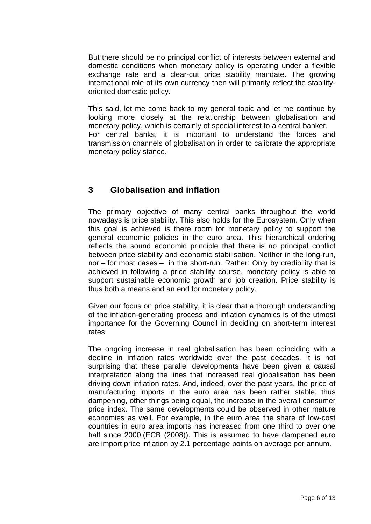<span id="page-5-0"></span>But there should be no principal conflict of interests between external and domestic conditions when monetary policy is operating under a flexible exchange rate and a clear-cut price stability mandate. The growing international role of its own currency then will primarily reflect the stabilityoriented domestic policy.

This said, let me come back to my general topic and let me continue by looking more closely at the relationship between globalisation and monetary policy, which is certainly of special interest to a central banker. For central banks, it is important to understand the forces and transmission channels of globalisation in order to calibrate the appropriate monetary policy stance.

#### **3 Globalisation and inflation**

The primary objective of many central banks throughout the world nowadays is price stability. This also holds for the Eurosystem. Only when this goal is achieved is there room for monetary policy to support the general economic policies in the euro area. This hierarchical ordering reflects the sound economic principle that there is no principal conflict between price stability and economic stabilisation. Neither in the long-run, nor – for most cases – in the short-run. Rather: Only by credibility that is achieved in following a price stability course, monetary policy is able to support sustainable economic growth and job creation. Price stability is thus both a means and an end for monetary policy.

Given our focus on price stability, it is clear that a thorough understanding of the inflation-generating process and inflation dynamics is of the utmost importance for the Governing Council in deciding on short-term interest rates.

The ongoing increase in real globalisation has been coinciding with a decline in inflation rates worldwide over the past decades. It is not surprising that these parallel developments have been given a causal interpretation along the lines that increased real globalisation has been driving down inflation rates. And, indeed, over the past years, the price of manufacturing imports in the euro area has been rather stable, thus dampening, other things being equal, the increase in the overall consumer price index. The same developments could be observed in other mature economies as well. For example, in the euro area the share of low-cost countries in euro area imports has increased from one third to over one half since 2000 (ECB (2008)). This is assumed to have dampened euro are import price inflation by 2.1 percentage points on average per annum.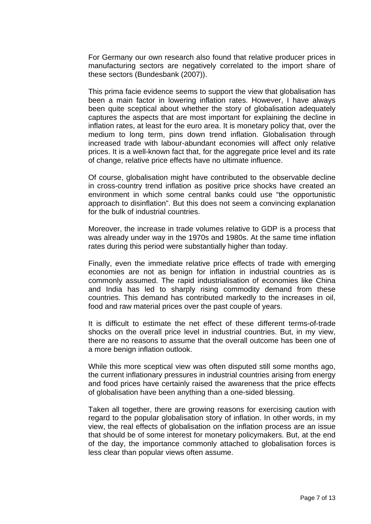For Germany our own research also found that relative producer prices in manufacturing sectors are negatively correlated to the import share of these sectors (Bundesbank (2007)).

This prima facie evidence seems to support the view that globalisation has been a main factor in lowering inflation rates. However, I have always been quite sceptical about whether the story of globalisation adequately captures the aspects that are most important for explaining the decline in inflation rates, at least for the euro area. It is monetary policy that, over the medium to long term, pins down trend inflation. Globalisation through increased trade with labour-abundant economies will affect only relative prices. It is a well-known fact that, for the aggregate price level and its rate of change, relative price effects have no ultimate influence.

Of course, globalisation might have contributed to the observable decline in cross-country trend inflation as positive price shocks have created an environment in which some central banks could use "the opportunistic approach to disinflation". But this does not seem a convincing explanation for the bulk of industrial countries.

Moreover, the increase in trade volumes relative to GDP is a process that was already under way in the 1970s and 1980s. At the same time inflation rates during this period were substantially higher than today.

Finally, even the immediate relative price effects of trade with emerging economies are not as benign for inflation in industrial countries as is commonly assumed. The rapid industrialisation of economies like China and India has led to sharply rising commodity demand from these countries. This demand has contributed markedly to the increases in oil, food and raw material prices over the past couple of years.

It is difficult to estimate the net effect of these different terms-of-trade shocks on the overall price level in industrial countries. But, in my view, there are no reasons to assume that the overall outcome has been one of a more benign inflation outlook.

While this more sceptical view was often disputed still some months ago, the current inflationary pressures in industrial countries arising from energy and food prices have certainly raised the awareness that the price effects of globalisation have been anything than a one-sided blessing.

Taken all together, there are growing reasons for exercising caution with regard to the popular globalisation story of inflation. In other words, in my view, the real effects of globalisation on the inflation process are an issue that should be of some interest for monetary policymakers. But, at the end of the day, the importance commonly attached to globalisation forces is less clear than popular views often assume.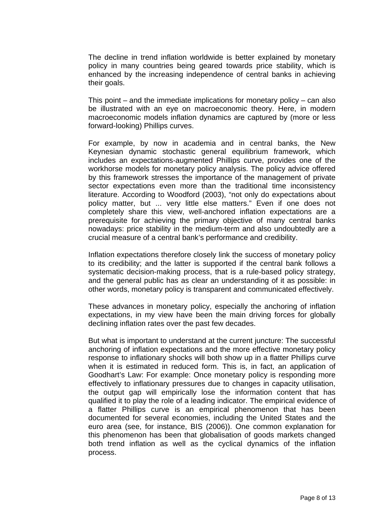The decline in trend inflation worldwide is better explained by monetary policy in many countries being geared towards price stability, which is enhanced by the increasing independence of central banks in achieving their goals.

This point – and the immediate implications for monetary policy – can also be illustrated with an eye on macroeconomic theory. Here, in modern macroeconomic models inflation dynamics are captured by (more or less forward-looking) Phillips curves.

For example, by now in academia and in central banks, the New Keynesian dynamic stochastic general equilibrium framework, which includes an expectations-augmented Phillips curve, provides one of the workhorse models for monetary policy analysis. The policy advice offered by this framework stresses the importance of the management of private sector expectations even more than the traditional time inconsistency literature. According to Woodford (2003), "not only do expectations about policy matter, but ... very little else matters." Even if one does not completely share this view, well-anchored inflation expectations are a prerequisite for achieving the primary objective of many central banks nowadays: price stability in the medium-term and also undoubtedly are a crucial measure of a central bank's performance and credibility.

Inflation expectations therefore closely link the success of monetary policy to its credibility; and the latter is supported if the central bank follows a systematic decision-making process, that is a rule-based policy strategy, and the general public has as clear an understanding of it as possible: in other words, monetary policy is transparent and communicated effectively.

These advances in monetary policy, especially the anchoring of inflation expectations, in my view have been the main driving forces for globally declining inflation rates over the past few decades.

But what is important to understand at the current juncture: The successful anchoring of inflation expectations and the more effective monetary policy response to inflationary shocks will both show up in a flatter Phillips curve when it is estimated in reduced form. This is, in fact, an application of Goodhart's Law: For example: Once monetary policy is responding more effectively to inflationary pressures due to changes in capacity utilisation, the output gap will empirically lose the information content that has qualified it to play the role of a leading indicator. The empirical evidence of a flatter Phillips curve is an empirical phenomenon that has been documented for several economies, including the United States and the euro area (see, for instance, BIS (2006)). One common explanation for this phenomenon has been that globalisation of goods markets changed both trend inflation as well as the cyclical dynamics of the inflation process.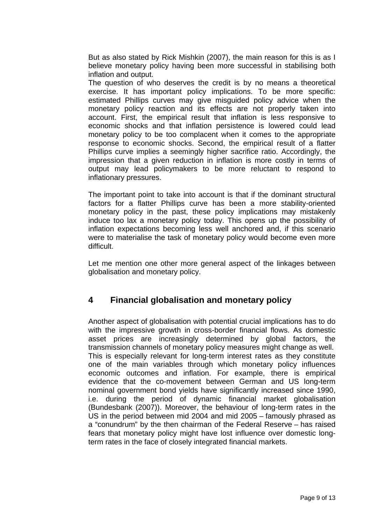<span id="page-8-0"></span>But as also stated by Rick Mishkin (2007), the main reason for this is as I believe monetary policy having been more successful in stabilising both inflation and output.

The question of who deserves the credit is by no means a theoretical exercise. It has important policy implications. To be more specific: estimated Phillips curves may give misguided policy advice when the monetary policy reaction and its effects are not properly taken into account. First, the empirical result that inflation is less responsive to economic shocks and that inflation persistence is lowered could lead monetary policy to be too complacent when it comes to the appropriate response to economic shocks. Second, the empirical result of a flatter Phillips curve implies a seemingly higher sacrifice ratio. Accordingly, the impression that a given reduction in inflation is more costly in terms of output may lead policymakers to be more reluctant to respond to inflationary pressures.

The important point to take into account is that if the dominant structural factors for a flatter Phillips curve has been a more stability-oriented monetary policy in the past, these policy implications may mistakenly induce too lax a monetary policy today. This opens up the possibility of inflation expectations becoming less well anchored and, if this scenario were to materialise the task of monetary policy would become even more difficult.

Let me mention one other more general aspect of the linkages between globalisation and monetary policy.

## **4 Financial globalisation and monetary policy**

Another aspect of globalisation with potential crucial implications has to do with the impressive growth in cross-border financial flows. As domestic asset prices are increasingly determined by global factors, the transmission channels of monetary policy measures might change as well. This is especially relevant for long-term interest rates as they constitute one of the main variables through which monetary policy influences economic outcomes and inflation. For example, there is empirical evidence that the co-movement between German and US long-term nominal government bond yields have significantly increased since 1990, i.e. during the period of dynamic financial market globalisation (Bundesbank (2007)). Moreover, the behaviour of long-term rates in the US in the period between mid 2004 and mid 2005 – famously phrased as a "conundrum" by the then chairman of the Federal Reserve – has raised fears that monetary policy might have lost influence over domestic longterm rates in the face of closely integrated financial markets.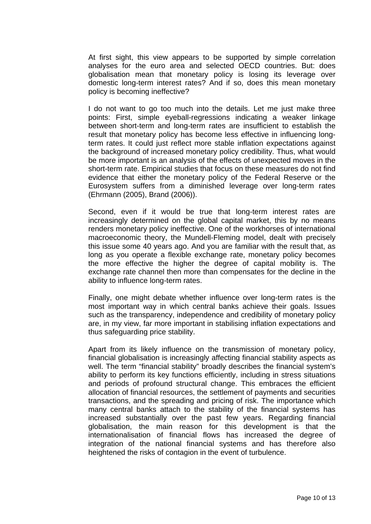At first sight, this view appears to be supported by simple correlation analyses for the euro area and selected OECD countries. But: does globalisation mean that monetary policy is losing its leverage over domestic long-term interest rates? And if so, does this mean monetary policy is becoming ineffective?

I do not want to go too much into the details. Let me just make three points: First, simple eyeball-regressions indicating a weaker linkage between short-term and long-term rates are insufficient to establish the result that monetary policy has become less effective in influencing longterm rates. It could just reflect more stable inflation expectations against the background of increased monetary policy credibility. Thus, what would be more important is an analysis of the effects of unexpected moves in the short-term rate. Empirical studies that focus on these measures do not find evidence that either the monetary policy of the Federal Reserve or the Eurosystem suffers from a diminished leverage over long-term rates (Ehrmann (2005), Brand (2006)).

Second, even if it would be true that long-term interest rates are increasingly determined on the global capital market, this by no means renders monetary policy ineffective. One of the workhorses of international macroeconomic theory, the Mundell-Fleming model, dealt with precisely this issue some 40 years ago. And you are familiar with the result that, as long as you operate a flexible exchange rate, monetary policy becomes the more effective the higher the degree of capital mobility is. The exchange rate channel then more than compensates for the decline in the ability to influence long-term rates.

Finally, one might debate whether influence over long-term rates is the most important way in which central banks achieve their goals. Issues such as the transparency, independence and credibility of monetary policy are, in my view, far more important in stabilising inflation expectations and thus safeguarding price stability.

Apart from its likely influence on the transmission of monetary policy, financial globalisation is increasingly affecting financial stability aspects as well. The term "financial stability" broadly describes the financial system's ability to perform its key functions efficiently, including in stress situations and periods of profound structural change. This embraces the efficient allocation of financial resources, the settlement of payments and securities transactions, and the spreading and pricing of risk. The importance which many central banks attach to the stability of the financial systems has increased substantially over the past few years. Regarding financial globalisation, the main reason for this development is that the internationalisation of financial flows has increased the degree of integration of the national financial systems and has therefore also heightened the risks of contagion in the event of turbulence.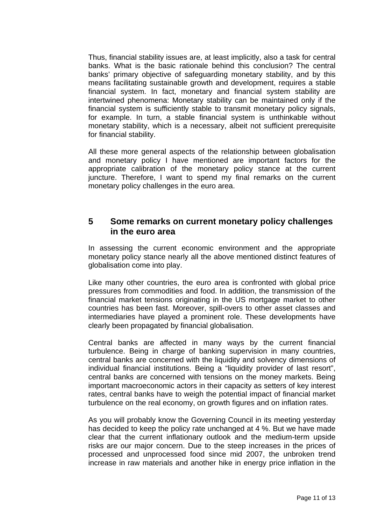<span id="page-10-0"></span>Thus, financial stability issues are, at least implicitly, also a task for central banks. What is the basic rationale behind this conclusion? The central banks' primary objective of safeguarding monetary stability, and by this means facilitating sustainable growth and development, requires a stable financial system. In fact, monetary and financial system stability are intertwined phenomena: Monetary stability can be maintained only if the financial system is sufficiently stable to transmit monetary policy signals, for example. In turn, a stable financial system is unthinkable without monetary stability, which is a necessary, albeit not sufficient prerequisite for financial stability.

All these more general aspects of the relationship between globalisation and monetary policy I have mentioned are important factors for the appropriate calibration of the monetary policy stance at the current juncture. Therefore, I want to spend my final remarks on the current monetary policy challenges in the euro area.

#### **5 Some remarks on current monetary policy challenges in the euro area**

In assessing the current economic environment and the appropriate monetary policy stance nearly all the above mentioned distinct features of globalisation come into play.

Like many other countries, the euro area is confronted with global price pressures from commodities and food. In addition, the transmission of the financial market tensions originating in the US mortgage market to other countries has been fast. Moreover, spill-overs to other asset classes and intermediaries have played a prominent role. These developments have clearly been propagated by financial globalisation.

Central banks are affected in many ways by the current financial turbulence. Being in charge of banking supervision in many countries, central banks are concerned with the liquidity and solvency dimensions of individual financial institutions. Being a "liquidity provider of last resort", central banks are concerned with tensions on the money markets. Being important macroeconomic actors in their capacity as setters of key interest rates, central banks have to weigh the potential impact of financial market turbulence on the real economy, on growth figures and on inflation rates.

As you will probably know the Governing Council in its meeting yesterday has decided to keep the policy rate unchanged at 4 %. But we have made clear that the current inflationary outlook and the medium-term upside risks are our major concern. Due to the steep increases in the prices of processed and unprocessed food since mid 2007, the unbroken trend increase in raw materials and another hike in energy price inflation in the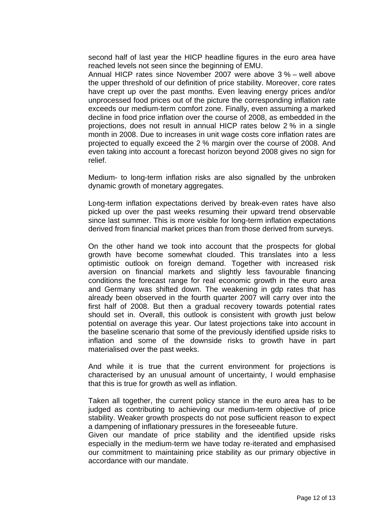second half of last year the HICP headline figures in the euro area have reached levels not seen since the beginning of EMU.

Annual HICP rates since November 2007 were above 3 % – well above the upper threshold of our definition of price stability. Moreover, core rates have crept up over the past months. Even leaving energy prices and/or unprocessed food prices out of the picture the corresponding inflation rate exceeds our medium-term comfort zone. Finally, even assuming a marked decline in food price inflation over the course of 2008, as embedded in the projections, does not result in annual HICP rates below 2 % in a single month in 2008. Due to increases in unit wage costs core inflation rates are projected to equally exceed the 2 % margin over the course of 2008. And even taking into account a forecast horizon beyond 2008 gives no sign for relief.

Medium- to long-term inflation risks are also signalled by the unbroken dynamic growth of monetary aggregates.

Long-term inflation expectations derived by break-even rates have also picked up over the past weeks resuming their upward trend observable since last summer. This is more visible for long-term inflation expectations derived from financial market prices than from those derived from surveys.

On the other hand we took into account that the prospects for global growth have become somewhat clouded. This translates into a less optimistic outlook on foreign demand. Together with increased risk aversion on financial markets and slightly less favourable financing conditions the forecast range for real economic growth in the euro area and Germany was shifted down. The weakening in gdp rates that has already been observed in the fourth quarter 2007 will carry over into the first half of 2008. But then a gradual recovery towards potential rates should set in. Overall, this outlook is consistent with growth just below potential on average this year. Our latest projections take into account in the baseline scenario that some of the previously identified upside risks to inflation and some of the downside risks to growth have in part materialised over the past weeks.

And while it is true that the current environment for projections is characterised by an unusual amount of uncertainty, I would emphasise that this is true for growth as well as inflation.

Taken all together, the current policy stance in the euro area has to be judged as contributing to achieving our medium-term objective of price stability. Weaker growth prospects do not pose sufficient reason to expect a dampening of inflationary pressures in the foreseeable future.

Given our mandate of price stability and the identified upside risks especially in the medium-term we have today re-iterated and emphasised our commitment to maintaining price stability as our primary objective in accordance with our mandate.